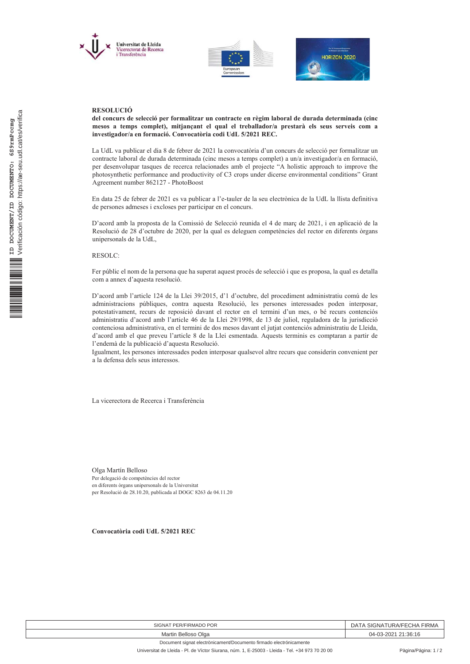





## **RESOLUCIÓ**

del concurs de selecció per formalitzar un contracte en règim laboral de durada determinada (cinc mesos a temps complet), mitjançant el qual el treballador/a prestarà els seus serveis com a investigador/a en formació. Convocatòria codi UdL 5/2021 REC.

La UdL va publicar el dia 8 de febrer de 2021 la convocatòria d'un concurs de selecció per formalitzar un contracte laboral de durada determinada (cinc mesos a temps complet) a un/a investigador/a en formació, per desenvolupar tasques de recerca relacionades amb el projecte "A holistic approach to improve the photosynthetic performance and productivity of C3 crops under dicerse environmental conditions" Grant Agreement number 862127 - PhotoBoost

En data 25 de febrer de 2021 es va publicar a l'e-tauler de la seu electrònica de la UdL la llista definitiva de persones admeses i excloses per participar en el concurs.

D'acord amb la proposta de la Comissió de Selecció reunida el 4 de març de 2021, i en aplicació de la Resolució de 28 d'octubre de 2020, per la qual es deleguen competències del rector en diferents òrgans unipersonals de la UdL.

RESOLC:

Fer públic el nom de la persona que ha superat aquest procés de selecció i que es proposa, la qual es detalla com a annex d'aquesta resolució.

D'acord amb l'article 124 de la Llei 39/2015, d'1 d'octubre, del procediment administratiu comú de les administracions públiques, contra aquesta Resolució, les persones interessades poden interposar, potestativament, recurs de reposició davant el rector en el termini d'un mes, o bé recurs contenciós administratiu d'acord amb l'article 46 de la Llei 29/1998, de 13 de juliol, reguladora de la jurisdicció contenciosa administrativa, en el termini de dos mesos davant el jutjat contenciós administratiu de Lleida, d'acord amb el que preveu l'article 8 de la Llei esmentada. Aquests terminis es comptaran a partir de l'endemà de la publicació d'aquesta Resolució.

Igualment, les persones interessades poden interposar qualsevol altre recurs que considerin convenient per a la defensa dels seus interessos.

La vicerectora de Recerca i Transferència

Olga Martín Belloso Per delegació de competències del rector en diferents òrgans unipersonals de la Universitat per Resolució de 28.10.20, publicada al DOGC 8263 de 04.11.20

Convocatòria codi UdL 5/2021 REC

| SIGNAT PER/FIRMADO POR                                             | SIGNATURA/FECHA FIRMA<br>. . ) Д |
|--------------------------------------------------------------------|----------------------------------|
| Martin Belloso Olga                                                | 04-03-2021 21:36:16              |
| Document signat electrònicament/Documento firmado electrónicamente |                                  |